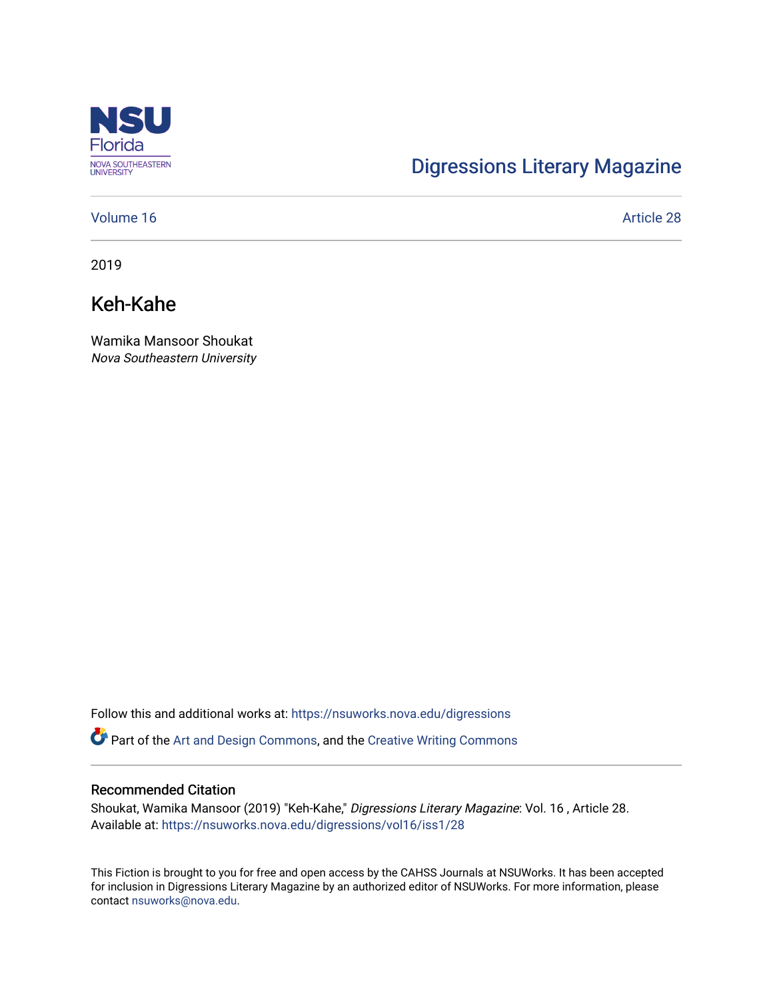

## [Digressions Literary Magazine](https://nsuworks.nova.edu/digressions)

#### [Volume 16](https://nsuworks.nova.edu/digressions/vol16) Article 28

2019

## Keh-Kahe

Wamika Mansoor Shoukat Nova Southeastern University

Follow this and additional works at: [https://nsuworks.nova.edu/digressions](https://nsuworks.nova.edu/digressions?utm_source=nsuworks.nova.edu%2Fdigressions%2Fvol16%2Fiss1%2F28&utm_medium=PDF&utm_campaign=PDFCoverPages) 

Part of the [Art and Design Commons](http://network.bepress.com/hgg/discipline/1049?utm_source=nsuworks.nova.edu%2Fdigressions%2Fvol16%2Fiss1%2F28&utm_medium=PDF&utm_campaign=PDFCoverPages), and the [Creative Writing Commons](http://network.bepress.com/hgg/discipline/574?utm_source=nsuworks.nova.edu%2Fdigressions%2Fvol16%2Fiss1%2F28&utm_medium=PDF&utm_campaign=PDFCoverPages)

#### Recommended Citation

Shoukat, Wamika Mansoor (2019) "Keh-Kahe," Digressions Literary Magazine: Vol. 16 , Article 28. Available at: [https://nsuworks.nova.edu/digressions/vol16/iss1/28](https://nsuworks.nova.edu/digressions/vol16/iss1/28?utm_source=nsuworks.nova.edu%2Fdigressions%2Fvol16%2Fiss1%2F28&utm_medium=PDF&utm_campaign=PDFCoverPages)

This Fiction is brought to you for free and open access by the CAHSS Journals at NSUWorks. It has been accepted for inclusion in Digressions Literary Magazine by an authorized editor of NSUWorks. For more information, please contact [nsuworks@nova.edu.](mailto:nsuworks@nova.edu)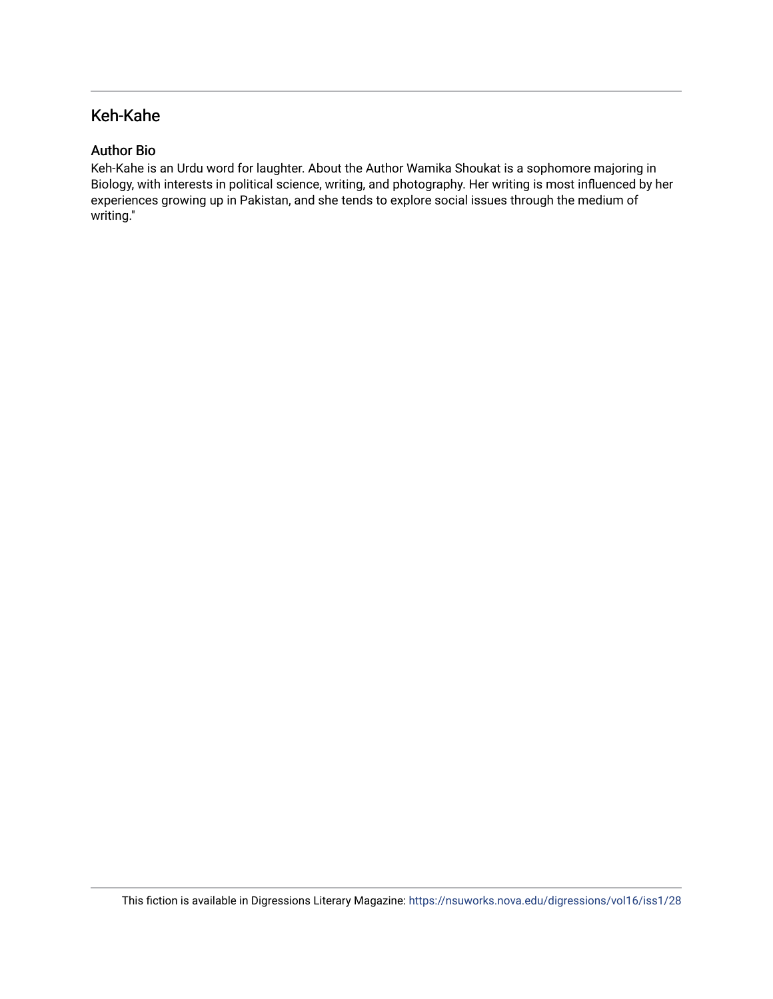### Keh-Kahe

#### Author Bio

Keh-Kahe is an Urdu word for laughter. About the Author Wamika Shoukat is a sophomore majoring in Biology, with interests in political science, writing, and photography. Her writing is most influenced by her experiences growing up in Pakistan, and she tends to explore social issues through the medium of writing."